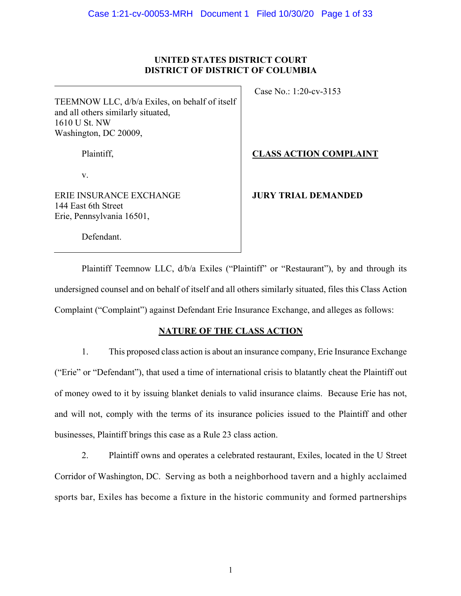# **UNITED STATES DISTRICT COURT DISTRICT OF DISTRICT OF COLUMBIA**

TEEMNOW LLC, d/b/a Exiles, on behalf of itself and all others similarly situated, 1610 U St. NW Washington, DC 20009,

Plaintiff,

v.

ERIE INSURANCE EXCHANGE 144 East 6th Street Erie, Pennsylvania 16501,

Case No.: 1:20-cv-3153

**CLASS ACTION COMPLAINT**

# **JURY TRIAL DEMANDED**

Defendant.

Plaintiff Teemnow LLC,  $d/b/a$  Exiles ("Plaintiff" or "Restaurant"), by and through its undersigned counsel and on behalf of itself and all others similarly situated, files this Class Action Complaint ("Complaint") against Defendant Erie Insurance Exchange, and alleges as follows:

# **NATURE OF THE CLASS ACTION**

1. This proposed class action is about an insurance company, Erie Insurance Exchange ("Erie" or "Defendant"), that used a time of international crisis to blatantly cheat the Plaintiff out of money owed to it by issuing blanket denials to valid insurance claims. Because Erie has not, and will not, comply with the terms of its insurance policies issued to the Plaintiff and other businesses, Plaintiff brings this case as a Rule 23 class action.

2. Plaintiff owns and operates a celebrated restaurant, Exiles, located in the U Street Corridor of Washington, DC. Serving as both a neighborhood tavern and a highly acclaimed sports bar, Exiles has become a fixture in the historic community and formed partnerships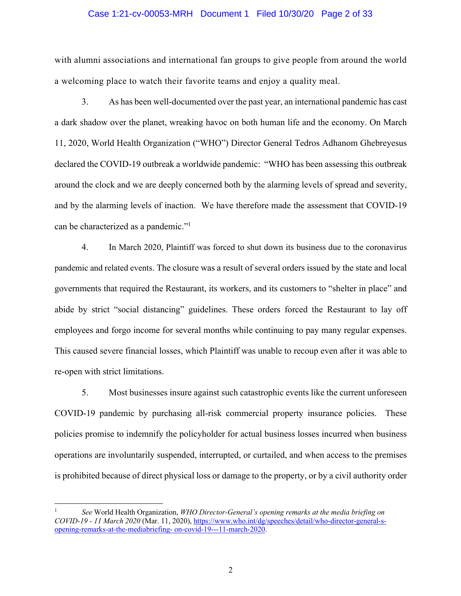#### Case 1:21-cv-00053-MRH Document 1 Filed 10/30/20 Page 2 of 33

with alumni associations and international fan groups to give people from around the world a welcoming place to watch their favorite teams and enjoy a quality meal.

3. As has been well-documented over the past year, an international pandemic has cast a dark shadow over the planet, wreaking havoc on both human life and the economy. On March 11, 2020, World Health Organization ("WHO") Director General Tedros Adhanom Ghebreyesus declared the COVID-19 outbreak a worldwide pandemic: "WHO has been assessing this outbreak around the clock and we are deeply concerned both by the alarming levels of spread and severity, and by the alarming levels of inaction. We have therefore made the assessment that COVID-19 can be characterized as a pandemic."1

4. In March 2020, Plaintiff was forced to shut down its business due to the coronavirus pandemic and related events. The closure was a result of several orders issued by the state and local governments that required the Restaurant, its workers, and its customers to "shelter in place" and abide by strict "social distancing" guidelines. These orders forced the Restaurant to lay off employees and forgo income for several months while continuing to pay many regular expenses. This caused severe financial losses, which Plaintiff was unable to recoup even after it was able to re-open with strict limitations.

5. Most businesses insure against such catastrophic events like the current unforeseen COVID-19 pandemic by purchasing all-risk commercial property insurance policies. These policies promise to indemnify the policyholder for actual business losses incurred when business operations are involuntarily suspended, interrupted, or curtailed, and when access to the premises is prohibited because of direct physical loss or damage to the property, or by a civil authority order

<sup>1</sup> *See* World Health Organization, *WHO Director-General's opening remarks at the media briefing on COVID-19 - 11 March 2020* (Mar. 11, 2020), https://www.who.int/dg/speeches/detail/who-director-general-sopening-remarks-at-the-mediabriefing- on-covid-19---11-march-2020.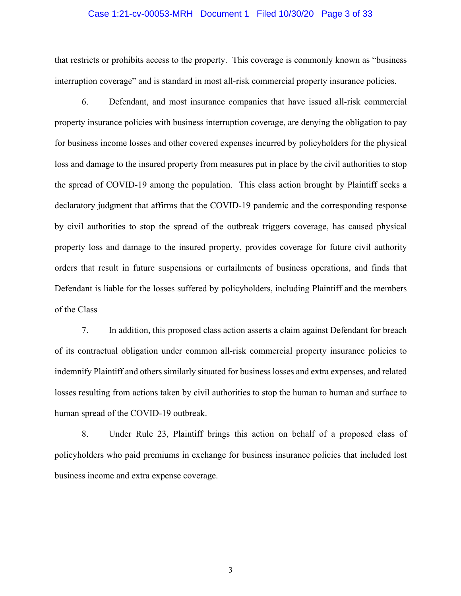#### Case 1:21-cv-00053-MRH Document 1 Filed 10/30/20 Page 3 of 33

that restricts or prohibits access to the property. This coverage is commonly known as "business interruption coverage" and is standard in most all-risk commercial property insurance policies.

6. Defendant, and most insurance companies that have issued all-risk commercial property insurance policies with business interruption coverage, are denying the obligation to pay for business income losses and other covered expenses incurred by policyholders for the physical loss and damage to the insured property from measures put in place by the civil authorities to stop the spread of COVID-19 among the population. This class action brought by Plaintiff seeks a declaratory judgment that affirms that the COVID-19 pandemic and the corresponding response by civil authorities to stop the spread of the outbreak triggers coverage, has caused physical property loss and damage to the insured property, provides coverage for future civil authority orders that result in future suspensions or curtailments of business operations, and finds that Defendant is liable for the losses suffered by policyholders, including Plaintiff and the members of the Class

7. In addition, this proposed class action asserts a claim against Defendant for breach of its contractual obligation under common all-risk commercial property insurance policies to indemnify Plaintiff and others similarly situated for business losses and extra expenses, and related losses resulting from actions taken by civil authorities to stop the human to human and surface to human spread of the COVID-19 outbreak.

8. Under Rule 23, Plaintiff brings this action on behalf of a proposed class of policyholders who paid premiums in exchange for business insurance policies that included lost business income and extra expense coverage.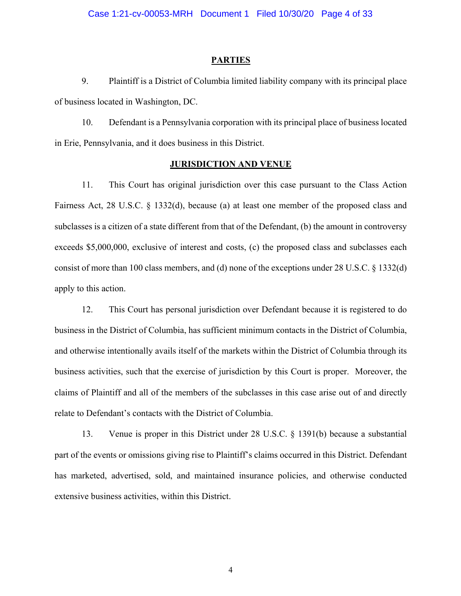#### **PARTIES**

9. Plaintiff is a District of Columbia limited liability company with its principal place of business located in Washington, DC.

10. Defendant is a Pennsylvania corporation with its principal place of business located in Erie, Pennsylvania, and it does business in this District.

## **JURISDICTION AND VENUE**

11. This Court has original jurisdiction over this case pursuant to the Class Action Fairness Act, 28 U.S.C. § 1332(d), because (a) at least one member of the proposed class and subclasses is a citizen of a state different from that of the Defendant, (b) the amount in controversy exceeds \$5,000,000, exclusive of interest and costs, (c) the proposed class and subclasses each consist of more than 100 class members, and (d) none of the exceptions under 28 U.S.C. § 1332(d) apply to this action.

12. This Court has personal jurisdiction over Defendant because it is registered to do business in the District of Columbia, has sufficient minimum contacts in the District of Columbia, and otherwise intentionally avails itself of the markets within the District of Columbia through its business activities, such that the exercise of jurisdiction by this Court is proper. Moreover, the claims of Plaintiff and all of the members of the subclasses in this case arise out of and directly relate to Defendant's contacts with the District of Columbia.

13. Venue is proper in this District under 28 U.S.C. § 1391(b) because a substantial part of the events or omissions giving rise to Plaintiff's claims occurred in this District. Defendant has marketed, advertised, sold, and maintained insurance policies, and otherwise conducted extensive business activities, within this District.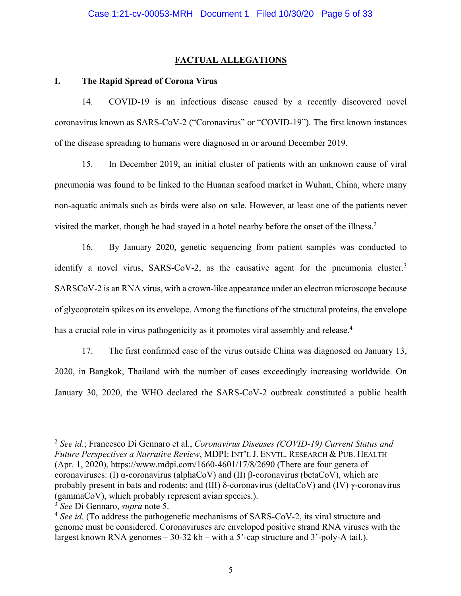## **FACTUAL ALLEGATIONS**

### **I. The Rapid Spread of Corona Virus**

14. COVID-19 is an infectious disease caused by a recently discovered novel coronavirus known as SARS-CoV-2 ("Coronavirus" or "COVID-19"). The first known instances of the disease spreading to humans were diagnosed in or around December 2019.

15. In December 2019, an initial cluster of patients with an unknown cause of viral pneumonia was found to be linked to the Huanan seafood market in Wuhan, China, where many non-aquatic animals such as birds were also on sale. However, at least one of the patients never visited the market, though he had stayed in a hotel nearby before the onset of the illness.<sup>2</sup>

16. By January 2020, genetic sequencing from patient samples was conducted to identify a novel virus, SARS-CoV-2, as the causative agent for the pneumonia cluster.<sup>3</sup> SARSCoV-2 is an RNA virus, with a crown-like appearance under an electron microscope because of glycoprotein spikes on its envelope. Among the functions of the structural proteins, the envelope has a crucial role in virus pathogenicity as it promotes viral assembly and release.<sup>4</sup>

17. The first confirmed case of the virus outside China was diagnosed on January 13, 2020, in Bangkok, Thailand with the number of cases exceedingly increasing worldwide. On January 30, 2020, the WHO declared the SARS-CoV-2 outbreak constituted a public health

<sup>2</sup> *See id.*; Francesco Di Gennaro et al., *Coronavirus Diseases (COVID-19) Current Status and Future Perspectives a Narrative Review*, MDPI: INT'L J. ENVTL. RESEARCH & PUB. HEALTH (Apr. 1, 2020), https://www.mdpi.com/1660-4601/17/8/2690 (There are four genera of coronaviruses: (I) α-coronavirus (alphaCoV) and (II) β-coronavirus (betaCoV), which are probably present in bats and rodents; and (III) δ-coronavirus (deltaCoV) and (IV) γ-coronavirus (gammaCoV), which probably represent avian species.).

<sup>3</sup> *See* Di Gennaro, *supra* note 5.

<sup>4</sup> *See id.* (To address the pathogenetic mechanisms of SARS-CoV-2, its viral structure and genome must be considered. Coronaviruses are enveloped positive strand RNA viruses with the largest known RNA genomes – 30-32 kb – with a 5'-cap structure and 3'-poly-A tail.).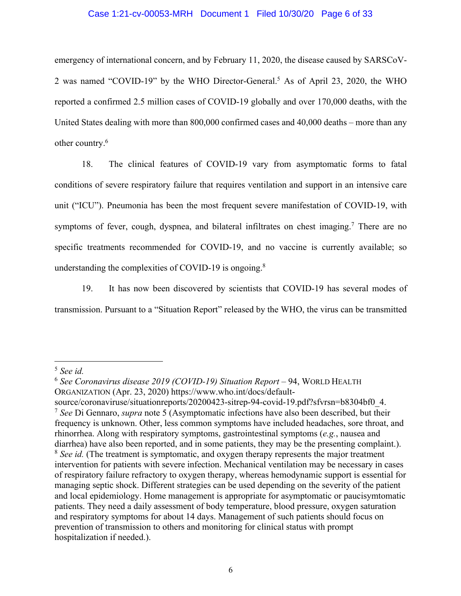### Case 1:21-cv-00053-MRH Document 1 Filed 10/30/20 Page 6 of 33

emergency of international concern, and by February 11, 2020, the disease caused by SARSCoV-2 was named "COVID-19" by the WHO Director-General.<sup>5</sup> As of April 23, 2020, the WHO reported a confirmed 2.5 million cases of COVID-19 globally and over 170,000 deaths, with the United States dealing with more than 800,000 confirmed cases and 40,000 deaths – more than any other country.6

18. The clinical features of COVID-19 vary from asymptomatic forms to fatal conditions of severe respiratory failure that requires ventilation and support in an intensive care unit ("ICU"). Pneumonia has been the most frequent severe manifestation of COVID-19, with symptoms of fever, cough, dyspnea, and bilateral infiltrates on chest imaging.<sup>7</sup> There are no specific treatments recommended for COVID-19, and no vaccine is currently available; so understanding the complexities of COVID-19 is ongoing.<sup>8</sup>

19. It has now been discovered by scientists that COVID-19 has several modes of transmission. Pursuant to a "Situation Report" released by the WHO, the virus can be transmitted

<sup>5</sup> *See id.*

<sup>6</sup> *See Coronavirus disease 2019 (COVID-19) Situation Report* – 94, WORLD HEALTH ORGANIZATION (Apr. 23, 2020) https://www.who.int/docs/default-

source/coronaviruse/situationreports/20200423-sitrep-94-covid-19.pdf?sfvrsn=b8304bf0\_4. <sup>7</sup> *See* Di Gennaro, *supra* note 5 (Asymptomatic infections have also been described, but their frequency is unknown. Other, less common symptoms have included headaches, sore throat, and rhinorrhea. Along with respiratory symptoms, gastrointestinal symptoms (*e.g.*, nausea and diarrhea) have also been reported, and in some patients, they may be the presenting complaint.). <sup>8</sup> *See id.* (The treatment is symptomatic, and oxygen therapy represents the major treatment intervention for patients with severe infection. Mechanical ventilation may be necessary in cases of respiratory failure refractory to oxygen therapy, whereas hemodynamic support is essential for managing septic shock. Different strategies can be used depending on the severity of the patient and local epidemiology. Home management is appropriate for asymptomatic or paucisymtomatic patients. They need a daily assessment of body temperature, blood pressure, oxygen saturation and respiratory symptoms for about 14 days. Management of such patients should focus on prevention of transmission to others and monitoring for clinical status with prompt hospitalization if needed.).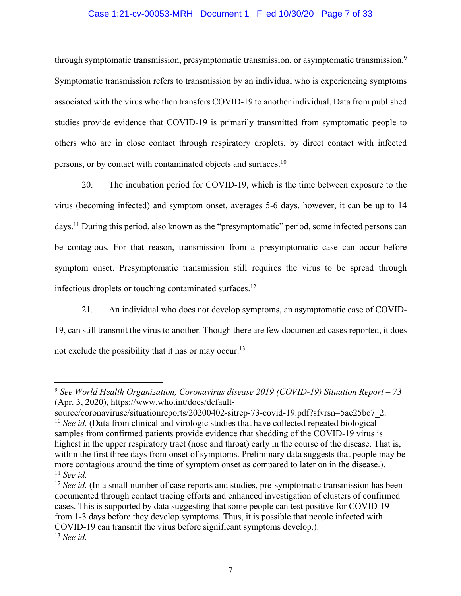## Case 1:21-cv-00053-MRH Document 1 Filed 10/30/20 Page 7 of 33

through symptomatic transmission, presymptomatic transmission, or asymptomatic transmission.<sup>9</sup> Symptomatic transmission refers to transmission by an individual who is experiencing symptoms associated with the virus who then transfers COVID-19 to another individual. Data from published studies provide evidence that COVID-19 is primarily transmitted from symptomatic people to others who are in close contact through respiratory droplets, by direct contact with infected persons, or by contact with contaminated objects and surfaces.<sup>10</sup>

20. The incubation period for COVID-19, which is the time between exposure to the virus (becoming infected) and symptom onset, averages 5-6 days, however, it can be up to 14 days.11 During this period, also known as the "presymptomatic" period, some infected persons can be contagious. For that reason, transmission from a presymptomatic case can occur before symptom onset. Presymptomatic transmission still requires the virus to be spread through infectious droplets or touching contaminated surfaces.<sup>12</sup>

21. An individual who does not develop symptoms, an asymptomatic case of COVID-19, can still transmit the virus to another. Though there are few documented cases reported, it does not exclude the possibility that it has or may occur.<sup>13</sup>

<sup>9</sup> *See World Health Organization, Coronavirus disease 2019 (COVID-19) Situation Report – 73* (Apr. 3, 2020), https://www.who.int/docs/default-

source/coronaviruse/situationreports/20200402-sitrep-73-covid-19.pdf?sfvrsn=5ae25bc7\_2. <sup>10</sup> *See id.* (Data from clinical and virologic studies that have collected repeated biological samples from confirmed patients provide evidence that shedding of the COVID-19 virus is highest in the upper respiratory tract (nose and throat) early in the course of the disease. That is, within the first three days from onset of symptoms. Preliminary data suggests that people may be more contagious around the time of symptom onset as compared to later on in the disease.). <sup>11</sup> *See id.*

<sup>&</sup>lt;sup>12</sup> *See id.* (In a small number of case reports and studies, pre-symptomatic transmission has been documented through contact tracing efforts and enhanced investigation of clusters of confirmed cases. This is supported by data suggesting that some people can test positive for COVID-19 from 1-3 days before they develop symptoms. Thus, it is possible that people infected with COVID-19 can transmit the virus before significant symptoms develop.). <sup>13</sup> *See id.*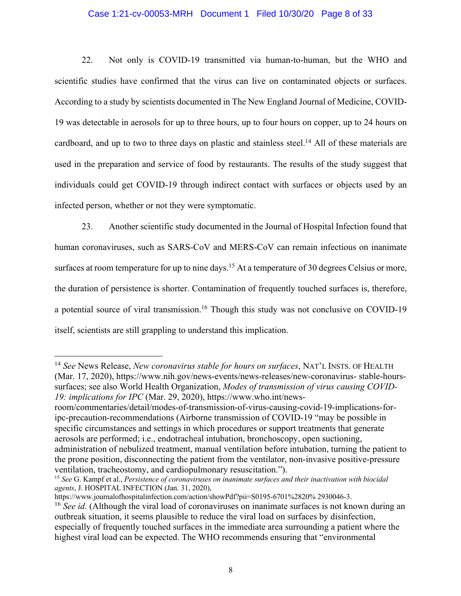### Case 1:21-cv-00053-MRH Document 1 Filed 10/30/20 Page 8 of 33

22. Not only is COVID-19 transmitted via human-to-human, but the WHO and scientific studies have confirmed that the virus can live on contaminated objects or surfaces. According to a study by scientists documented in The New England Journal of Medicine, COVID-19 was detectable in aerosols for up to three hours, up to four hours on copper, up to 24 hours on cardboard, and up to two to three days on plastic and stainless steel.<sup>14</sup> All of these materials are used in the preparation and service of food by restaurants. The results of the study suggest that individuals could get COVID-19 through indirect contact with surfaces or objects used by an infected person, whether or not they were symptomatic.

23. Another scientific study documented in the Journal of Hospital Infection found that human coronaviruses, such as SARS-CoV and MERS-CoV can remain infectious on inanimate surfaces at room temperature for up to nine days.<sup>15</sup> At a temperature of 30 degrees Celsius or more, the duration of persistence is shorter. Contamination of frequently touched surfaces is, therefore, a potential source of viral transmission.<sup>16</sup> Though this study was not conclusive on COVID-19 itself, scientists are still grappling to understand this implication.

<sup>14</sup> *See* News Release, *New coronavirus stable for hours on surfaces*, NAT'L INSTS. OF HEALTH (Mar. 17, 2020), https://www.nih.gov/news-events/news-releases/new-coronavirus- stable-hourssurfaces; see also World Health Organization, *Modes of transmission of virus causing COVID-19: implications for IPC* (Mar. 29, 2020), https://www.who.int/news-

room/commentaries/detail/modes-of-transmission-of-virus-causing-covid-19-implications-foripc-precaution-recommendations (Airborne transmission of COVID-19 "may be possible in specific circumstances and settings in which procedures or support treatments that generate aerosols are performed; i.e., endotracheal intubation, bronchoscopy, open suctioning, administration of nebulized treatment, manual ventilation before intubation, turning the patient to the prone position, disconnecting the patient from the ventilator, non-invasive positive-pressure ventilation, tracheostomy, and cardiopulmonary resuscitation.").

<sup>15</sup> *See* G. Kampf et al., *Persistence of coronaviruses on inanimate surfaces and their inactivation with biocidal agents*, J. HOSPITAL INFECTION (Jan. 31, 2020),

https://www.journalofhospitalinfection.com/action/showPdf?pii=S0195-6701%2820% 2930046-3.

<sup>&</sup>lt;sup>16</sup> *See id.* (Although the viral load of coronaviruses on inanimate surfaces is not known during an outbreak situation, it seems plausible to reduce the viral load on surfaces by disinfection, especially of frequently touched surfaces in the immediate area surrounding a patient where the highest viral load can be expected. The WHO recommends ensuring that "environmental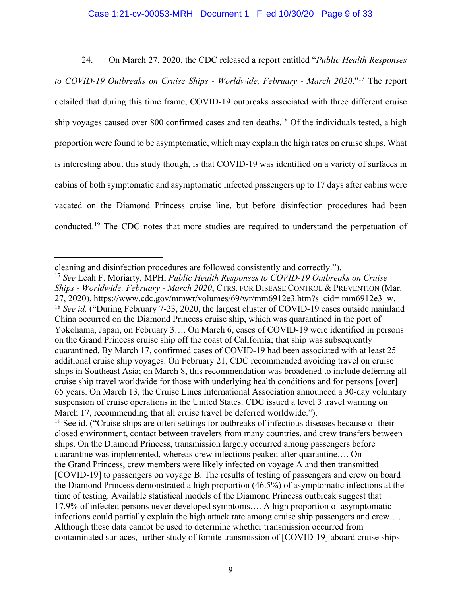#### Case 1:21-cv-00053-MRH Document 1 Filed 10/30/20 Page 9 of 33

24. On March 27, 2020, the CDC released a report entitled "*Public Health Responses to COVID-19 Outbreaks on Cruise Ships - Worldwide, February - March 2020*."17 The report detailed that during this time frame, COVID-19 outbreaks associated with three different cruise ship voyages caused over 800 confirmed cases and ten deaths.18 Of the individuals tested, a high proportion were found to be asymptomatic, which may explain the high rates on cruise ships. What is interesting about this study though, is that COVID-19 was identified on a variety of surfaces in cabins of both symptomatic and asymptomatic infected passengers up to 17 days after cabins were vacated on the Diamond Princess cruise line, but before disinfection procedures had been conducted.19 The CDC notes that more studies are required to understand the perpetuation of

cleaning and disinfection procedures are followed consistently and correctly.").

<sup>17</sup> *See* Leah F. Moriarty, MPH, *Public Health Responses to COVID-19 Outbreaks on Cruise Ships - Worldwide, February - March 2020*, CTRS. FOR DISEASE CONTROL & PREVENTION (Mar. 27, 2020), https://www.cdc.gov/mmwr/volumes/69/wr/mm6912e3.htm?s\_cid= mm6912e3\_w. <sup>18</sup> *See id.* ("During February 7-23, 2020, the largest cluster of COVID-19 cases outside mainland China occurred on the Diamond Princess cruise ship, which was quarantined in the port of Yokohama, Japan, on February 3…. On March 6, cases of COVID-19 were identified in persons on the Grand Princess cruise ship off the coast of California; that ship was subsequently quarantined. By March 17, confirmed cases of COVID-19 had been associated with at least 25 additional cruise ship voyages. On February 21, CDC recommended avoiding travel on cruise ships in Southeast Asia; on March 8, this recommendation was broadened to include deferring all cruise ship travel worldwide for those with underlying health conditions and for persons [over] 65 years. On March 13, the Cruise Lines International Association announced a 30-day voluntary suspension of cruise operations in the United States. CDC issued a level 3 travel warning on March 17, recommending that all cruise travel be deferred worldwide.").

<sup>&</sup>lt;sup>19</sup> See id. ("Cruise ships are often settings for outbreaks of infectious diseases because of their closed environment, contact between travelers from many countries, and crew transfers between ships. On the Diamond Princess, transmission largely occurred among passengers before quarantine was implemented, whereas crew infections peaked after quarantine…. On the Grand Princess, crew members were likely infected on voyage A and then transmitted [COVID-19] to passengers on voyage B. The results of testing of passengers and crew on board the Diamond Princess demonstrated a high proportion (46.5%) of asymptomatic infections at the time of testing. Available statistical models of the Diamond Princess outbreak suggest that 17.9% of infected persons never developed symptoms…. A high proportion of asymptomatic infections could partially explain the high attack rate among cruise ship passengers and crew…. Although these data cannot be used to determine whether transmission occurred from contaminated surfaces, further study of fomite transmission of [COVID-19] aboard cruise ships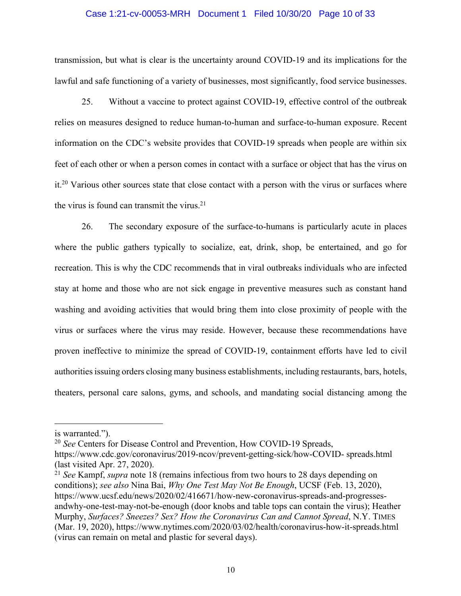#### Case 1:21-cv-00053-MRH Document 1 Filed 10/30/20 Page 10 of 33

transmission, but what is clear is the uncertainty around COVID-19 and its implications for the lawful and safe functioning of a variety of businesses, most significantly, food service businesses.

25. Without a vaccine to protect against COVID-19, effective control of the outbreak relies on measures designed to reduce human-to-human and surface-to-human exposure. Recent information on the CDC's website provides that COVID-19 spreads when people are within six feet of each other or when a person comes in contact with a surface or object that has the virus on it.20 Various other sources state that close contact with a person with the virus or surfaces where the virus is found can transmit the virus. $21$ 

26. The secondary exposure of the surface-to-humans is particularly acute in places where the public gathers typically to socialize, eat, drink, shop, be entertained, and go for recreation. This is why the CDC recommends that in viral outbreaks individuals who are infected stay at home and those who are not sick engage in preventive measures such as constant hand washing and avoiding activities that would bring them into close proximity of people with the virus or surfaces where the virus may reside. However, because these recommendations have proven ineffective to minimize the spread of COVID-19, containment efforts have led to civil authorities issuing orders closing many business establishments, including restaurants, bars, hotels, theaters, personal care salons, gyms, and schools, and mandating social distancing among the

<sup>20</sup> *See* Centers for Disease Control and Prevention, How COVID-19 Spreads,

is warranted.").

https://www.cdc.gov/coronavirus/2019-ncov/prevent-getting-sick/how-COVID- spreads.html (last visited Apr. 27, 2020).

<sup>21</sup> *See* Kampf, *supra* note 18 (remains infectious from two hours to 28 days depending on conditions); *see also* Nina Bai, *Why One Test May Not Be Enough*, UCSF (Feb. 13, 2020), https://www.ucsf.edu/news/2020/02/416671/how-new-coronavirus-spreads-and-progressesandwhy-one-test-may-not-be-enough (door knobs and table tops can contain the virus); Heather Murphy, *Surfaces? Sneezes? Sex? How the Coronavirus Can and Cannot Spread*, N.Y. TIMES (Mar. 19, 2020), https://www.nytimes.com/2020/03/02/health/coronavirus-how-it-spreads.html (virus can remain on metal and plastic for several days).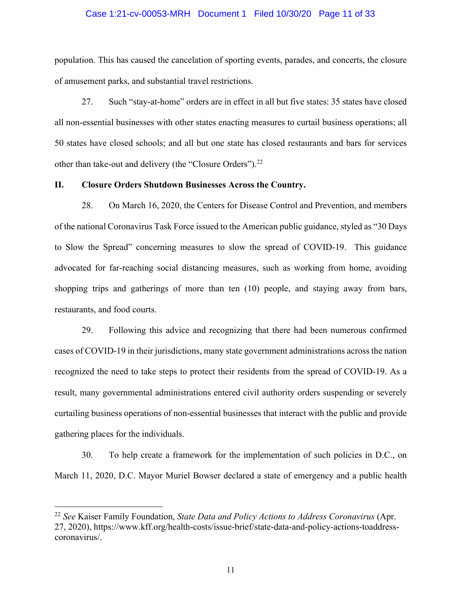#### Case 1:21-cv-00053-MRH Document 1 Filed 10/30/20 Page 11 of 33

population. This has caused the cancelation of sporting events, parades, and concerts, the closure of amusement parks, and substantial travel restrictions.

27. Such "stay-at-home" orders are in effect in all but five states: 35 states have closed all non-essential businesses with other states enacting measures to curtail business operations; all 50 states have closed schools; and all but one state has closed restaurants and bars for services other than take-out and delivery (the "Closure Orders").22

#### **II. Closure Orders Shutdown Businesses Across the Country.**

28. On March 16, 2020, the Centers for Disease Control and Prevention, and members of the national Coronavirus Task Force issued to the American public guidance, styled as "30 Days to Slow the Spread" concerning measures to slow the spread of COVID-19. This guidance advocated for far-reaching social distancing measures, such as working from home, avoiding shopping trips and gatherings of more than ten (10) people, and staying away from bars, restaurants, and food courts.

29. Following this advice and recognizing that there had been numerous confirmed cases of COVID-19 in their jurisdictions, many state government administrations across the nation recognized the need to take steps to protect their residents from the spread of COVID-19. As a result, many governmental administrations entered civil authority orders suspending or severely curtailing business operations of non-essential businesses that interact with the public and provide gathering places for the individuals.

30. To help create a framework for the implementation of such policies in D.C., on March 11, 2020, D.C. Mayor Muriel Bowser declared a state of emergency and a public health

<sup>22</sup> *See* Kaiser Family Foundation, *State Data and Policy Actions to Address Coronavirus* (Apr. 27, 2020), https://www.kff.org/health-costs/issue-brief/state-data-and-policy-actions-toaddresscoronavirus/.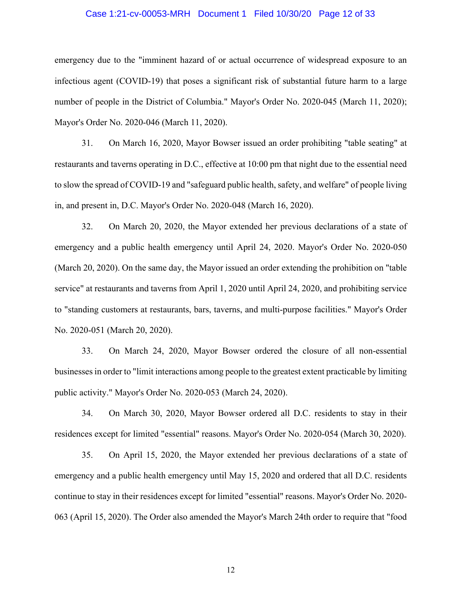#### Case 1:21-cv-00053-MRH Document 1 Filed 10/30/20 Page 12 of 33

emergency due to the "imminent hazard of or actual occurrence of widespread exposure to an infectious agent (COVID-19) that poses a significant risk of substantial future harm to a large number of people in the District of Columbia." Mayor's Order No. 2020-045 (March 11, 2020); Mayor's Order No. 2020-046 (March 11, 2020).

31. On March 16, 2020, Mayor Bowser issued an order prohibiting "table seating" at restaurants and taverns operating in D.C., effective at 10:00 pm that night due to the essential need to slow the spread of COVID-19 and "safeguard public health, safety, and welfare" of people living in, and present in, D.C. Mayor's Order No. 2020-048 (March 16, 2020).

32. On March 20, 2020, the Mayor extended her previous declarations of a state of emergency and a public health emergency until April 24, 2020. Mayor's Order No. 2020-050 (March 20, 2020). On the same day, the Mayor issued an order extending the prohibition on "table service" at restaurants and taverns from April 1, 2020 until April 24, 2020, and prohibiting service to "standing customers at restaurants, bars, taverns, and multi-purpose facilities." Mayor's Order No. 2020-051 (March 20, 2020).

33. On March 24, 2020, Mayor Bowser ordered the closure of all non-essential businesses in order to "limit interactions among people to the greatest extent practicable by limiting public activity." Mayor's Order No. 2020-053 (March 24, 2020).

34. On March 30, 2020, Mayor Bowser ordered all D.C. residents to stay in their residences except for limited "essential" reasons. Mayor's Order No. 2020-054 (March 30, 2020).

35. On April 15, 2020, the Mayor extended her previous declarations of a state of emergency and a public health emergency until May 15, 2020 and ordered that all D.C. residents continue to stay in their residences except for limited "essential" reasons. Mayor's Order No. 2020- 063 (April 15, 2020). The Order also amended the Mayor's March 24th order to require that "food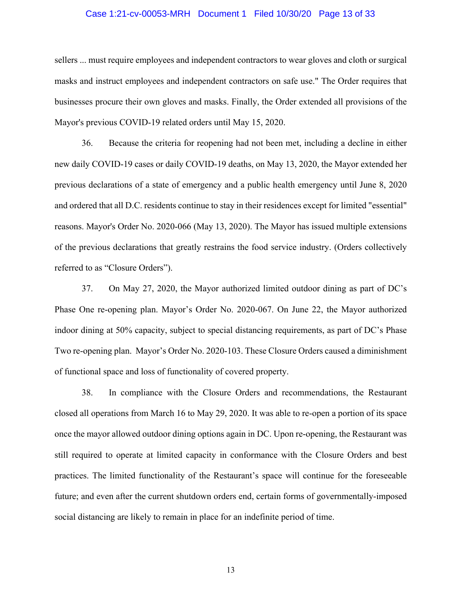#### Case 1:21-cv-00053-MRH Document 1 Filed 10/30/20 Page 13 of 33

sellers ... must require employees and independent contractors to wear gloves and cloth or surgical masks and instruct employees and independent contractors on safe use." The Order requires that businesses procure their own gloves and masks. Finally, the Order extended all provisions of the Mayor's previous COVID-19 related orders until May 15, 2020.

36. Because the criteria for reopening had not been met, including a decline in either new daily COVID-19 cases or daily COVID-19 deaths, on May 13, 2020, the Mayor extended her previous declarations of a state of emergency and a public health emergency until June 8, 2020 and ordered that all D.C. residents continue to stay in their residences except for limited "essential" reasons. Mayor's Order No. 2020-066 (May 13, 2020). The Mayor has issued multiple extensions of the previous declarations that greatly restrains the food service industry. (Orders collectively referred to as "Closure Orders").

37. On May 27, 2020, the Mayor authorized limited outdoor dining as part of DC's Phase One re-opening plan. Mayor's Order No. 2020-067. On June 22, the Mayor authorized indoor dining at 50% capacity, subject to special distancing requirements, as part of DC's Phase Two re-opening plan. Mayor's Order No. 2020-103. These Closure Orders caused a diminishment of functional space and loss of functionality of covered property.

38. In compliance with the Closure Orders and recommendations, the Restaurant closed all operations from March 16 to May 29, 2020. It was able to re-open a portion of its space once the mayor allowed outdoor dining options again in DC. Upon re-opening, the Restaurant was still required to operate at limited capacity in conformance with the Closure Orders and best practices. The limited functionality of the Restaurant's space will continue for the foreseeable future; and even after the current shutdown orders end, certain forms of governmentally-imposed social distancing are likely to remain in place for an indefinite period of time.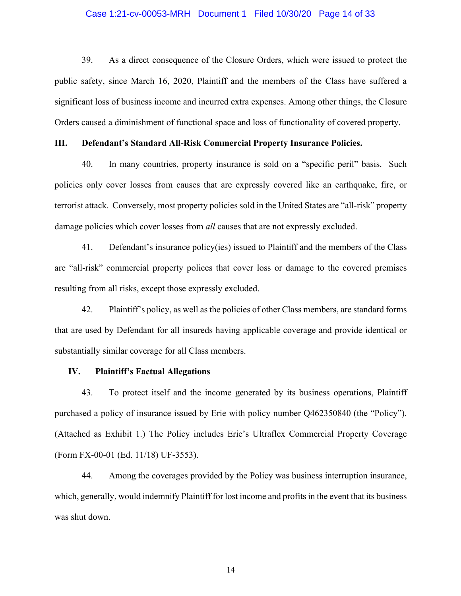#### Case 1:21-cv-00053-MRH Document 1 Filed 10/30/20 Page 14 of 33

39. As a direct consequence of the Closure Orders, which were issued to protect the public safety, since March 16, 2020, Plaintiff and the members of the Class have suffered a significant loss of business income and incurred extra expenses. Among other things, the Closure Orders caused a diminishment of functional space and loss of functionality of covered property.

### **III. Defendant's Standard All-Risk Commercial Property Insurance Policies.**

40. In many countries, property insurance is sold on a "specific peril" basis. Such policies only cover losses from causes that are expressly covered like an earthquake, fire, or terrorist attack. Conversely, most property policies sold in the United States are "all-risk" property damage policies which cover losses from *all* causes that are not expressly excluded.

41. Defendant's insurance policy(ies) issued to Plaintiff and the members of the Class are "all-risk" commercial property polices that cover loss or damage to the covered premises resulting from all risks, except those expressly excluded.

42. Plaintiff's policy, as well as the policies of other Class members, are standard forms that are used by Defendant for all insureds having applicable coverage and provide identical or substantially similar coverage for all Class members.

### **IV. Plaintiff's Factual Allegations**

43. To protect itself and the income generated by its business operations, Plaintiff purchased a policy of insurance issued by Erie with policy number Q462350840 (the "Policy"). (Attached as Exhibit 1.) The Policy includes Erie's Ultraflex Commercial Property Coverage (Form FX-00-01 (Ed. 11/18) UF-3553).

44. Among the coverages provided by the Policy was business interruption insurance, which, generally, would indemnify Plaintiff for lost income and profits in the event that its business was shut down.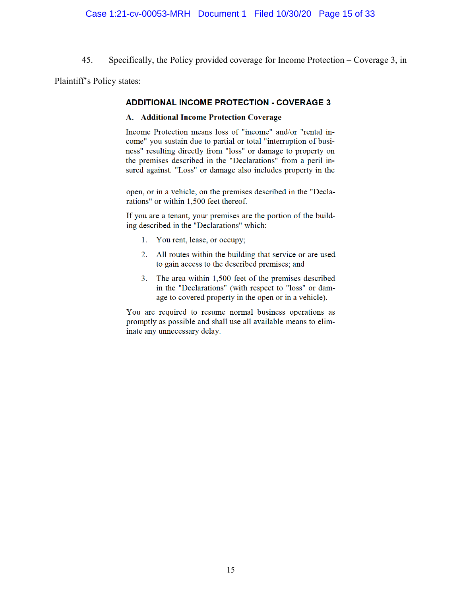45. Specifically, the Policy provided coverage for Income Protection – Coverage 3, in

Plaintiff's Policy states:

### **ADDITIONAL INCOME PROTECTION - COVERAGE 3**

#### A. Additional Income Protection Coverage

Income Protection means loss of "income" and/or "rental income" you sustain due to partial or total "interruption of business" resulting directly from "loss" or damage to property on the premises described in the "Declarations" from a peril insured against. "Loss" or damage also includes property in the

open, or in a vehicle, on the premises described in the "Declarations" or within 1,500 feet thereof.

If you are a tenant, your premises are the portion of the building described in the "Declarations" which:

- 1. You rent, lease, or occupy;
- 2. All routes within the building that service or are used to gain access to the described premises; and
- 3. The area within 1,500 feet of the premises described in the "Declarations" (with respect to "loss" or damage to covered property in the open or in a vehicle).

You are required to resume normal business operations as promptly as possible and shall use all available means to eliminate any unnecessary delay.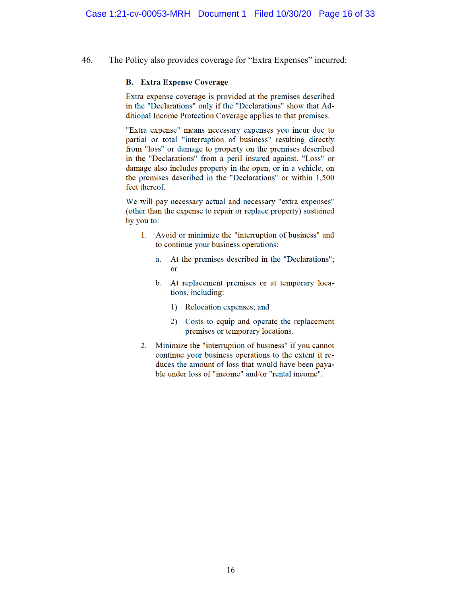46. The Policy also provides coverage for "Extra Expenses" incurred:

#### **B.** Extra Expense Coverage

Extra expense coverage is provided at the premises described in the "Declarations" only if the "Declarations" show that Additional Income Protection Coverage applies to that premises.

"Extra expense" means necessary expenses you incur due to partial or total "interruption of business" resulting directly from "loss" or damage to property on the premises described in the "Declarations" from a peril insured against. "Loss" or damage also includes property in the open, or in a vehicle, on the premises described in the "Declarations" or within 1,500 feet thereof.

We will pay necessary actual and necessary "extra expenses" (other than the expense to repair or replace property) sustained by you to:

- 1. Avoid or minimize the "interruption of business" and to continue your business operations:
	- At the premises described in the "Declarations"; a.  $\alpha$ r
	- b. At replacement premises or at temporary locations, including:
		- 1) Relocation expenses; and
		- 2) Costs to equip and operate the replacement premises or temporary locations.
- 2. Minimize the "interruption of business" if you cannot continue your business operations to the extent it reduces the amount of loss that would have been payable under loss of "income" and/or "rental income".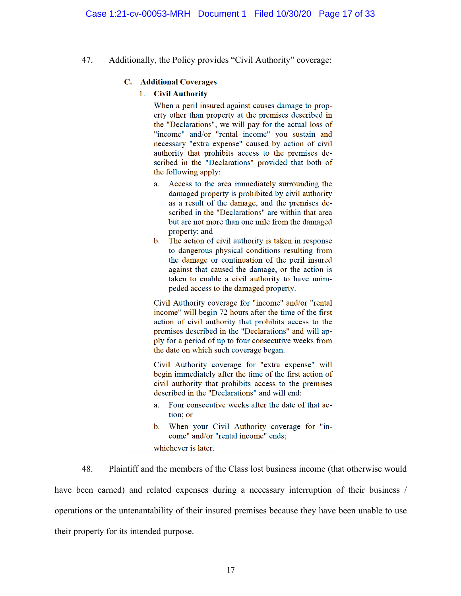47. Additionally, the Policy provides "Civil Authority" coverage:

## C. Additional Coverages

## 1. Civil Authority

When a peril insured against causes damage to property other than property at the premises described in the "Declarations", we will pay for the actual loss of "income" and/or "rental income" you sustain and necessary "extra expense" caused by action of civil authority that prohibits access to the premises described in the "Declarations" provided that both of the following apply:

- a. Access to the area immediately surrounding the damaged property is prohibited by civil authority as a result of the damage, and the premises described in the "Declarations" are within that area but are not more than one mile from the damaged property; and
- b. The action of civil authority is taken in response to dangerous physical conditions resulting from the damage or continuation of the peril insured against that caused the damage, or the action is taken to enable a civil authority to have unimpeded access to the damaged property.

Civil Authority coverage for "income" and/or "rental income" will begin 72 hours after the time of the first action of civil authority that prohibits access to the premises described in the "Declarations" and will apply for a period of up to four consecutive weeks from the date on which such coverage began.

Civil Authority coverage for "extra expense" will begin immediately after the time of the first action of civil authority that prohibits access to the premises described in the "Declarations" and will end:

- Four consecutive weeks after the date of that ac- $\mathbf{a}$ tion; or
- b. When your Civil Authority coverage for "income" and/or "rental income" ends;

whichever is later.

48. Plaintiff and the members of the Class lost business income (that otherwise would have been earned) and related expenses during a necessary interruption of their business / operations or the untenantability of their insured premises because they have been unable to use their property for its intended purpose.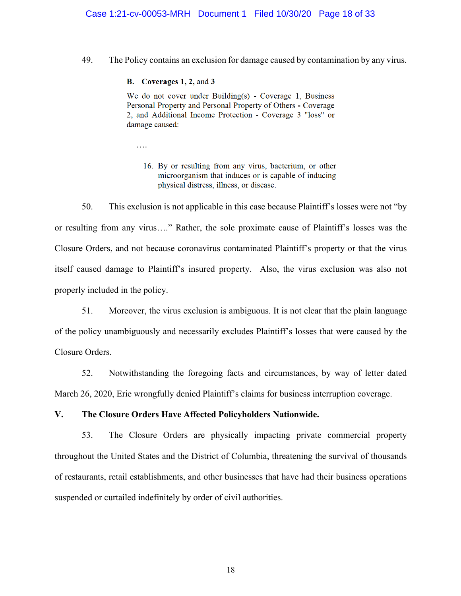### Case 1:21-cv-00053-MRH Document 1 Filed 10/30/20 Page 18 of 33

49. The Policy contains an exclusion for damage caused by contamination by any virus.

#### **B.** Coverages 1, 2, and 3

We do not cover under Building(s) - Coverage 1, Business Personal Property and Personal Property of Others - Coverage 2, and Additional Income Protection - Coverage 3 "loss" or damage caused:

….

16. By or resulting from any virus, bacterium, or other microorganism that induces or is capable of inducing physical distress, illness, or disease.

50. This exclusion is not applicable in this case because Plaintiff's losses were not "by or resulting from any virus…." Rather, the sole proximate cause of Plaintiff's losses was the Closure Orders, and not because coronavirus contaminated Plaintiff's property or that the virus itself caused damage to Plaintiff's insured property. Also, the virus exclusion was also not properly included in the policy.

51. Moreover, the virus exclusion is ambiguous. It is not clear that the plain language of the policy unambiguously and necessarily excludes Plaintiff's losses that were caused by the Closure Orders.

52. Notwithstanding the foregoing facts and circumstances, by way of letter dated March 26, 2020, Erie wrongfully denied Plaintiff's claims for business interruption coverage.

# **V. The Closure Orders Have Affected Policyholders Nationwide.**

53. The Closure Orders are physically impacting private commercial property throughout the United States and the District of Columbia, threatening the survival of thousands of restaurants, retail establishments, and other businesses that have had their business operations suspended or curtailed indefinitely by order of civil authorities.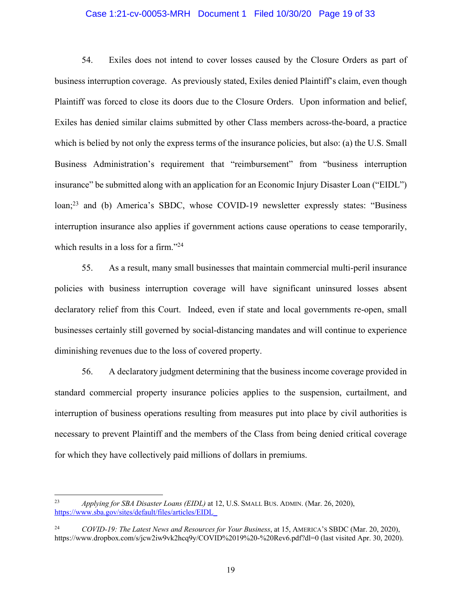### Case 1:21-cv-00053-MRH Document 1 Filed 10/30/20 Page 19 of 33

54. Exiles does not intend to cover losses caused by the Closure Orders as part of business interruption coverage. As previously stated, Exiles denied Plaintiff's claim, even though Plaintiff was forced to close its doors due to the Closure Orders. Upon information and belief, Exiles has denied similar claims submitted by other Class members across-the-board, a practice which is belied by not only the express terms of the insurance policies, but also: (a) the U.S. Small Business Administration's requirement that "reimbursement" from "business interruption insurance" be submitted along with an application for an Economic Injury Disaster Loan ("EIDL") loan;<sup>23</sup> and (b) America's SBDC, whose COVID-19 newsletter expressly states: "Business" interruption insurance also applies if government actions cause operations to cease temporarily, which results in a loss for a firm."<sup>24</sup>

55. As a result, many small businesses that maintain commercial multi-peril insurance policies with business interruption coverage will have significant uninsured losses absent declaratory relief from this Court. Indeed, even if state and local governments re-open, small businesses certainly still governed by social-distancing mandates and will continue to experience diminishing revenues due to the loss of covered property.

56. A declaratory judgment determining that the business income coverage provided in standard commercial property insurance policies applies to the suspension, curtailment, and interruption of business operations resulting from measures put into place by civil authorities is necessary to prevent Plaintiff and the members of the Class from being denied critical coverage for which they have collectively paid millions of dollars in premiums.

<sup>23</sup> *Applying for SBA Disaster Loans (EIDL)* at 12, U.S. SMALL BUS. ADMIN. (Mar. 26, 2020), https://www.sba.gov/sites/default/files/articles/EIDL\_

<sup>24</sup> *COVID-19: The Latest News and Resources for Your Business*, at 15, AMERICA'S SBDC (Mar. 20, 2020), https://www.dropbox.com/s/jcw2iw9vk2hcq9y/COVID%2019%20-%20Rev6.pdf?dl=0 (last visited Apr. 30, 2020).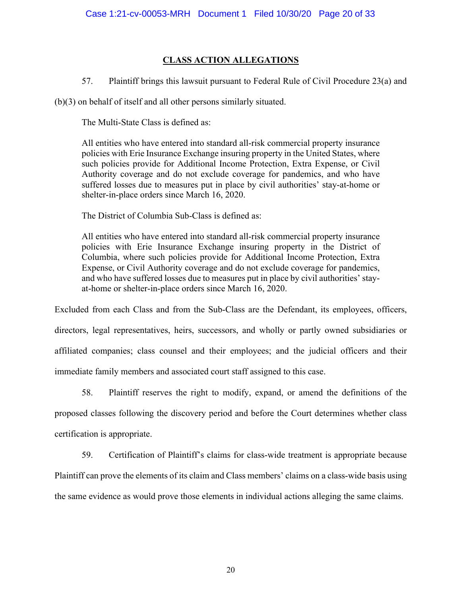# **CLASS ACTION ALLEGATIONS**

57. Plaintiff brings this lawsuit pursuant to Federal Rule of Civil Procedure 23(a) and

(b)(3) on behalf of itself and all other persons similarly situated.

The Multi-State Class is defined as:

All entities who have entered into standard all-risk commercial property insurance policies with Erie Insurance Exchange insuring property in the United States, where such policies provide for Additional Income Protection, Extra Expense, or Civil Authority coverage and do not exclude coverage for pandemics, and who have suffered losses due to measures put in place by civil authorities' stay-at-home or shelter-in-place orders since March 16, 2020.

The District of Columbia Sub-Class is defined as:

All entities who have entered into standard all-risk commercial property insurance policies with Erie Insurance Exchange insuring property in the District of Columbia, where such policies provide for Additional Income Protection, Extra Expense, or Civil Authority coverage and do not exclude coverage for pandemics, and who have suffered losses due to measures put in place by civil authorities' stayat-home or shelter-in-place orders since March 16, 2020.

Excluded from each Class and from the Sub-Class are the Defendant, its employees, officers, directors, legal representatives, heirs, successors, and wholly or partly owned subsidiaries or affiliated companies; class counsel and their employees; and the judicial officers and their immediate family members and associated court staff assigned to this case.

58. Plaintiff reserves the right to modify, expand, or amend the definitions of the proposed classes following the discovery period and before the Court determines whether class certification is appropriate.

59. Certification of Plaintiff's claims for class-wide treatment is appropriate because Plaintiff can prove the elements of its claim and Class members' claims on a class-wide basis using the same evidence as would prove those elements in individual actions alleging the same claims.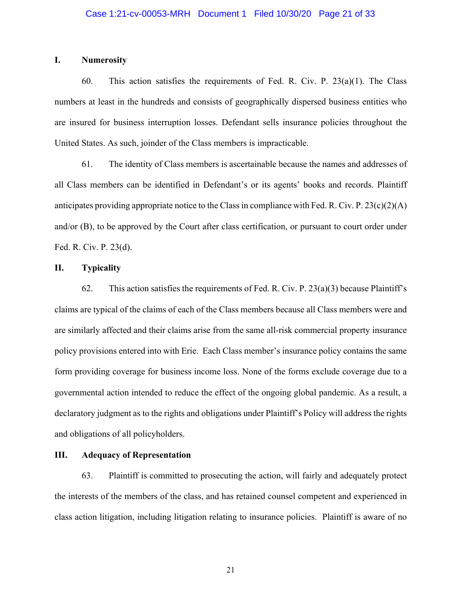#### **I. Numerosity**

60. This action satisfies the requirements of Fed. R. Civ. P.  $23(a)(1)$ . The Class numbers at least in the hundreds and consists of geographically dispersed business entities who are insured for business interruption losses. Defendant sells insurance policies throughout the United States. As such, joinder of the Class members is impracticable.

61. The identity of Class members is ascertainable because the names and addresses of all Class members can be identified in Defendant's or its agents' books and records. Plaintiff anticipates providing appropriate notice to the Class in compliance with Fed. R. Civ. P. 23(c)(2)(A) and/or (B), to be approved by the Court after class certification, or pursuant to court order under Fed. R. Civ. P. 23(d).

#### **II. Typicality**

62. This action satisfies the requirements of Fed. R. Civ. P.  $23(a)(3)$  because Plaintiff's claims are typical of the claims of each of the Class members because all Class members were and are similarly affected and their claims arise from the same all-risk commercial property insurance policy provisions entered into with Erie. Each Class member's insurance policy contains the same form providing coverage for business income loss. None of the forms exclude coverage due to a governmental action intended to reduce the effect of the ongoing global pandemic. As a result, a declaratory judgment as to the rights and obligations under Plaintiff's Policy will address the rights and obligations of all policyholders.

## **III. Adequacy of Representation**

63. Plaintiff is committed to prosecuting the action, will fairly and adequately protect the interests of the members of the class, and has retained counsel competent and experienced in class action litigation, including litigation relating to insurance policies. Plaintiff is aware of no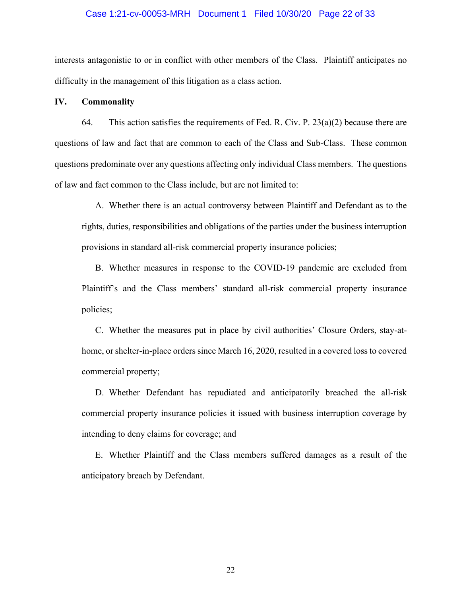#### Case 1:21-cv-00053-MRH Document 1 Filed 10/30/20 Page 22 of 33

interests antagonistic to or in conflict with other members of the Class. Plaintiff anticipates no difficulty in the management of this litigation as a class action.

#### **IV. Commonality**

64. This action satisfies the requirements of Fed. R. Civ. P.  $23(a)(2)$  because there are questions of law and fact that are common to each of the Class and Sub-Class. These common questions predominate over any questions affecting only individual Class members. The questions of law and fact common to the Class include, but are not limited to:

A. Whether there is an actual controversy between Plaintiff and Defendant as to the rights, duties, responsibilities and obligations of the parties under the business interruption provisions in standard all-risk commercial property insurance policies;

B. Whether measures in response to the COVID-19 pandemic are excluded from Plaintiff's and the Class members' standard all-risk commercial property insurance policies;

C. Whether the measures put in place by civil authorities' Closure Orders, stay-athome, or shelter-in-place orders since March 16, 2020, resulted in a covered loss to covered commercial property;

D. Whether Defendant has repudiated and anticipatorily breached the all-risk commercial property insurance policies it issued with business interruption coverage by intending to deny claims for coverage; and

E. Whether Plaintiff and the Class members suffered damages as a result of the anticipatory breach by Defendant.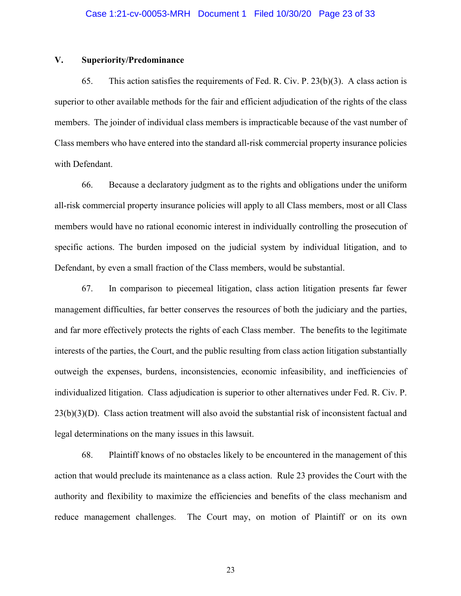#### **V. Superiority/Predominance**

65. This action satisfies the requirements of Fed. R. Civ. P. 23(b)(3). A class action is superior to other available methods for the fair and efficient adjudication of the rights of the class members. The joinder of individual class members is impracticable because of the vast number of Class members who have entered into the standard all-risk commercial property insurance policies with Defendant.

66. Because a declaratory judgment as to the rights and obligations under the uniform all-risk commercial property insurance policies will apply to all Class members, most or all Class members would have no rational economic interest in individually controlling the prosecution of specific actions. The burden imposed on the judicial system by individual litigation, and to Defendant, by even a small fraction of the Class members, would be substantial.

67. In comparison to piecemeal litigation, class action litigation presents far fewer management difficulties, far better conserves the resources of both the judiciary and the parties, and far more effectively protects the rights of each Class member. The benefits to the legitimate interests of the parties, the Court, and the public resulting from class action litigation substantially outweigh the expenses, burdens, inconsistencies, economic infeasibility, and inefficiencies of individualized litigation. Class adjudication is superior to other alternatives under Fed. R. Civ. P.  $23(b)(3)(D)$ . Class action treatment will also avoid the substantial risk of inconsistent factual and legal determinations on the many issues in this lawsuit.

68. Plaintiff knows of no obstacles likely to be encountered in the management of this action that would preclude its maintenance as a class action. Rule 23 provides the Court with the authority and flexibility to maximize the efficiencies and benefits of the class mechanism and reduce management challenges. The Court may, on motion of Plaintiff or on its own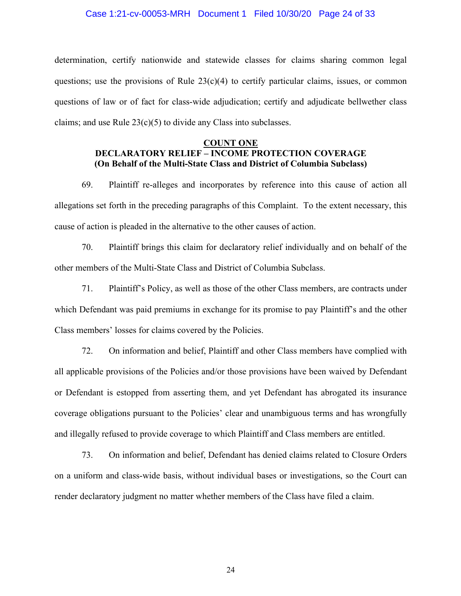#### Case 1:21-cv-00053-MRH Document 1 Filed 10/30/20 Page 24 of 33

determination, certify nationwide and statewide classes for claims sharing common legal questions; use the provisions of Rule  $23(c)(4)$  to certify particular claims, issues, or common questions of law or of fact for class-wide adjudication; certify and adjudicate bellwether class claims; and use Rule  $23(c)(5)$  to divide any Class into subclasses.

# **COUNT ONE DECLARATORY RELIEF – INCOME PROTECTION COVERAGE (On Behalf of the Multi-State Class and District of Columbia Subclass)**

69. Plaintiff re-alleges and incorporates by reference into this cause of action all allegations set forth in the preceding paragraphs of this Complaint. To the extent necessary, this cause of action is pleaded in the alternative to the other causes of action.

70. Plaintiff brings this claim for declaratory relief individually and on behalf of the other members of the Multi-State Class and District of Columbia Subclass.

71. Plaintiff's Policy, as well as those of the other Class members, are contracts under which Defendant was paid premiums in exchange for its promise to pay Plaintiff's and the other Class members' losses for claims covered by the Policies.

72. On information and belief, Plaintiff and other Class members have complied with all applicable provisions of the Policies and/or those provisions have been waived by Defendant or Defendant is estopped from asserting them, and yet Defendant has abrogated its insurance coverage obligations pursuant to the Policies' clear and unambiguous terms and has wrongfully and illegally refused to provide coverage to which Plaintiff and Class members are entitled.

73. On information and belief, Defendant has denied claims related to Closure Orders on a uniform and class-wide basis, without individual bases or investigations, so the Court can render declaratory judgment no matter whether members of the Class have filed a claim.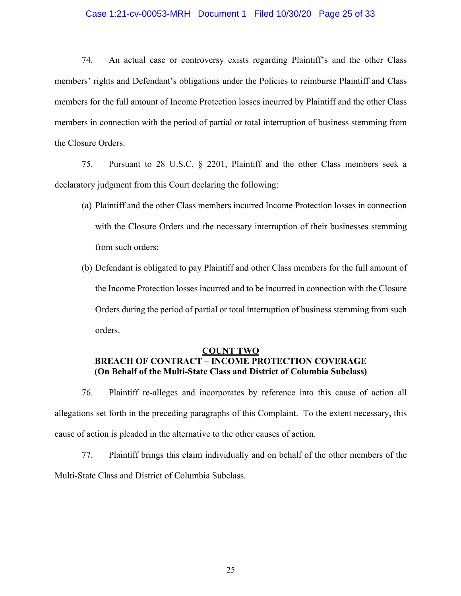#### Case 1:21-cv-00053-MRH Document 1 Filed 10/30/20 Page 25 of 33

74. An actual case or controversy exists regarding Plaintiff's and the other Class members' rights and Defendant's obligations under the Policies to reimburse Plaintiff and Class members for the full amount of Income Protection losses incurred by Plaintiff and the other Class members in connection with the period of partial or total interruption of business stemming from the Closure Orders.

75. Pursuant to 28 U.S.C. § 2201, Plaintiff and the other Class members seek a declaratory judgment from this Court declaring the following:

- (a) Plaintiff and the other Class members incurred Income Protection losses in connection with the Closure Orders and the necessary interruption of their businesses stemming from such orders;
- (b) Defendant is obligated to pay Plaintiff and other Class members for the full amount of the Income Protection losses incurred and to be incurred in connection with the Closure Orders during the period of partial or total interruption of business stemming from such orders.

#### **COUNT TWO**

# **BREACH OF CONTRACT – INCOME PROTECTION COVERAGE (On Behalf of the Multi-State Class and District of Columbia Subclass)**

76. Plaintiff re-alleges and incorporates by reference into this cause of action all allegations set forth in the preceding paragraphs of this Complaint. To the extent necessary, this cause of action is pleaded in the alternative to the other causes of action.

77. Plaintiff brings this claim individually and on behalf of the other members of the Multi-State Class and District of Columbia Subclass.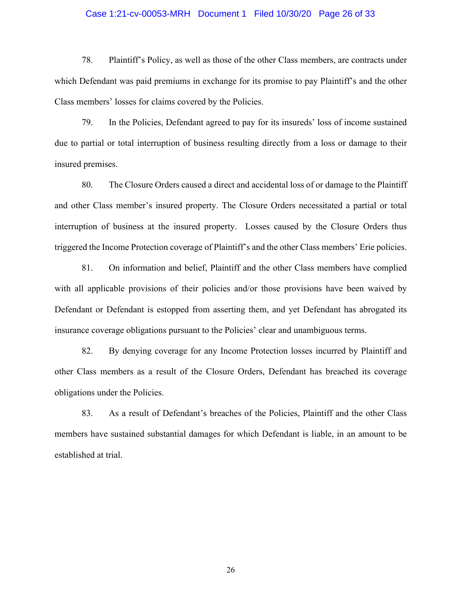#### Case 1:21-cv-00053-MRH Document 1 Filed 10/30/20 Page 26 of 33

78. Plaintiff's Policy, as well as those of the other Class members, are contracts under which Defendant was paid premiums in exchange for its promise to pay Plaintiff's and the other Class members' losses for claims covered by the Policies.

79. In the Policies, Defendant agreed to pay for its insureds' loss of income sustained due to partial or total interruption of business resulting directly from a loss or damage to their insured premises.

80. The Closure Orders caused a direct and accidental loss of or damage to the Plaintiff and other Class member's insured property. The Closure Orders necessitated a partial or total interruption of business at the insured property. Losses caused by the Closure Orders thus triggered the Income Protection coverage of Plaintiff's and the other Class members' Erie policies.

81. On information and belief, Plaintiff and the other Class members have complied with all applicable provisions of their policies and/or those provisions have been waived by Defendant or Defendant is estopped from asserting them, and yet Defendant has abrogated its insurance coverage obligations pursuant to the Policies' clear and unambiguous terms.

82. By denying coverage for any Income Protection losses incurred by Plaintiff and other Class members as a result of the Closure Orders, Defendant has breached its coverage obligations under the Policies.

83. As a result of Defendant's breaches of the Policies, Plaintiff and the other Class members have sustained substantial damages for which Defendant is liable, in an amount to be established at trial.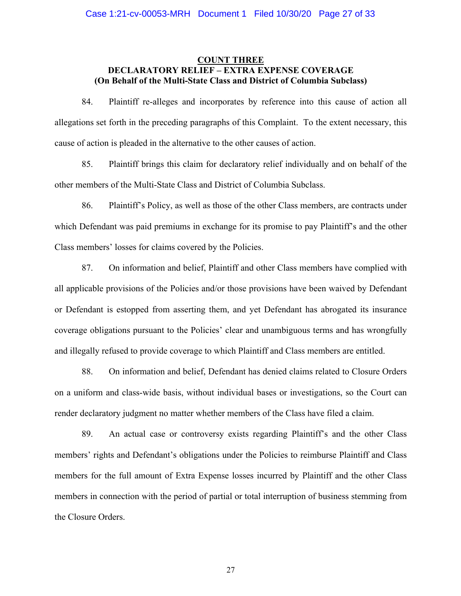## **COUNT THREE DECLARATORY RELIEF – EXTRA EXPENSE COVERAGE (On Behalf of the Multi-State Class and District of Columbia Subclass)**

84. Plaintiff re-alleges and incorporates by reference into this cause of action all allegations set forth in the preceding paragraphs of this Complaint. To the extent necessary, this cause of action is pleaded in the alternative to the other causes of action.

85. Plaintiff brings this claim for declaratory relief individually and on behalf of the other members of the Multi-State Class and District of Columbia Subclass.

86. Plaintiff's Policy, as well as those of the other Class members, are contracts under which Defendant was paid premiums in exchange for its promise to pay Plaintiff's and the other Class members' losses for claims covered by the Policies.

87. On information and belief, Plaintiff and other Class members have complied with all applicable provisions of the Policies and/or those provisions have been waived by Defendant or Defendant is estopped from asserting them, and yet Defendant has abrogated its insurance coverage obligations pursuant to the Policies' clear and unambiguous terms and has wrongfully and illegally refused to provide coverage to which Plaintiff and Class members are entitled.

88. On information and belief, Defendant has denied claims related to Closure Orders on a uniform and class-wide basis, without individual bases or investigations, so the Court can render declaratory judgment no matter whether members of the Class have filed a claim.

89. An actual case or controversy exists regarding Plaintiff's and the other Class members' rights and Defendant's obligations under the Policies to reimburse Plaintiff and Class members for the full amount of Extra Expense losses incurred by Plaintiff and the other Class members in connection with the period of partial or total interruption of business stemming from the Closure Orders.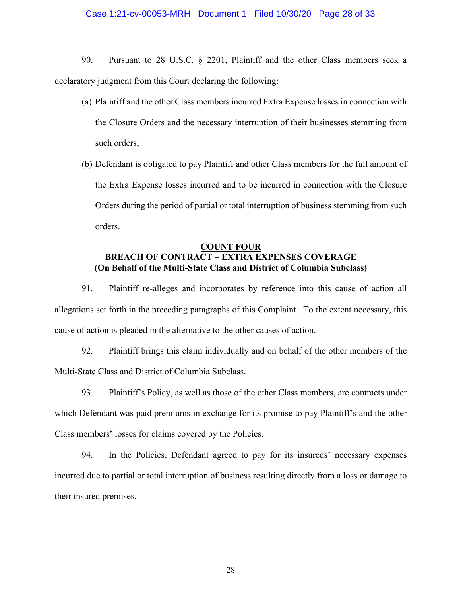#### Case 1:21-cv-00053-MRH Document 1 Filed 10/30/20 Page 28 of 33

90. Pursuant to 28 U.S.C. § 2201, Plaintiff and the other Class members seek a declaratory judgment from this Court declaring the following:

- (a) Plaintiff and the other Class members incurred Extra Expense losses in connection with the Closure Orders and the necessary interruption of their businesses stemming from such orders;
- (b) Defendant is obligated to pay Plaintiff and other Class members for the full amount of the Extra Expense losses incurred and to be incurred in connection with the Closure Orders during the period of partial or total interruption of business stemming from such orders.

# **COUNT FOUR BREACH OF CONTRACT – EXTRA EXPENSES COVERAGE (On Behalf of the Multi-State Class and District of Columbia Subclass)**

91. Plaintiff re-alleges and incorporates by reference into this cause of action all allegations set forth in the preceding paragraphs of this Complaint. To the extent necessary, this cause of action is pleaded in the alternative to the other causes of action.

92. Plaintiff brings this claim individually and on behalf of the other members of the Multi-State Class and District of Columbia Subclass.

93. Plaintiff's Policy, as well as those of the other Class members, are contracts under which Defendant was paid premiums in exchange for its promise to pay Plaintiff's and the other Class members' losses for claims covered by the Policies.

94. In the Policies, Defendant agreed to pay for its insureds' necessary expenses incurred due to partial or total interruption of business resulting directly from a loss or damage to their insured premises.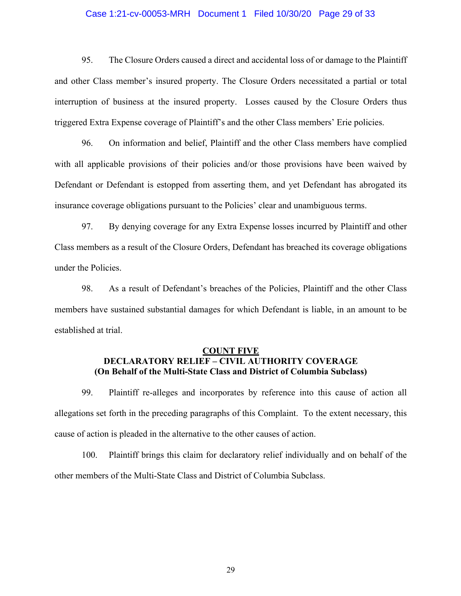#### Case 1:21-cv-00053-MRH Document 1 Filed 10/30/20 Page 29 of 33

95. The Closure Orders caused a direct and accidental loss of or damage to the Plaintiff and other Class member's insured property. The Closure Orders necessitated a partial or total interruption of business at the insured property. Losses caused by the Closure Orders thus triggered Extra Expense coverage of Plaintiff's and the other Class members' Erie policies.

96. On information and belief, Plaintiff and the other Class members have complied with all applicable provisions of their policies and/or those provisions have been waived by Defendant or Defendant is estopped from asserting them, and yet Defendant has abrogated its insurance coverage obligations pursuant to the Policies' clear and unambiguous terms.

97. By denying coverage for any Extra Expense losses incurred by Plaintiff and other Class members as a result of the Closure Orders, Defendant has breached its coverage obligations under the Policies.

98. As a result of Defendant's breaches of the Policies, Plaintiff and the other Class members have sustained substantial damages for which Defendant is liable, in an amount to be established at trial.

## **COUNT FIVE DECLARATORY RELIEF – CIVIL AUTHORITY COVERAGE (On Behalf of the Multi-State Class and District of Columbia Subclass)**

99. Plaintiff re-alleges and incorporates by reference into this cause of action all allegations set forth in the preceding paragraphs of this Complaint. To the extent necessary, this cause of action is pleaded in the alternative to the other causes of action.

100. Plaintiff brings this claim for declaratory relief individually and on behalf of the other members of the Multi-State Class and District of Columbia Subclass.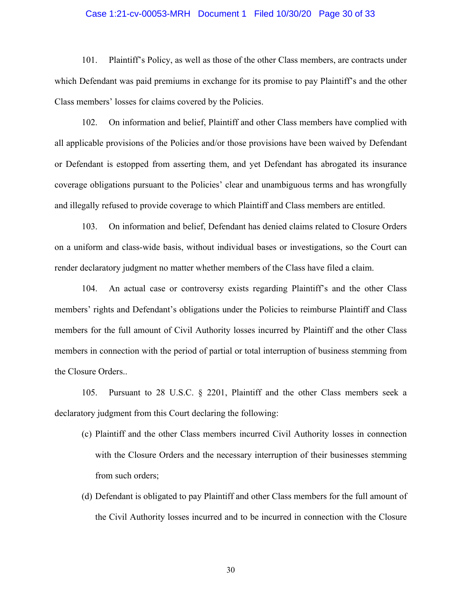#### Case 1:21-cv-00053-MRH Document 1 Filed 10/30/20 Page 30 of 33

101. Plaintiff's Policy, as well as those of the other Class members, are contracts under which Defendant was paid premiums in exchange for its promise to pay Plaintiff's and the other Class members' losses for claims covered by the Policies.

102. On information and belief, Plaintiff and other Class members have complied with all applicable provisions of the Policies and/or those provisions have been waived by Defendant or Defendant is estopped from asserting them, and yet Defendant has abrogated its insurance coverage obligations pursuant to the Policies' clear and unambiguous terms and has wrongfully and illegally refused to provide coverage to which Plaintiff and Class members are entitled.

103. On information and belief, Defendant has denied claims related to Closure Orders on a uniform and class-wide basis, without individual bases or investigations, so the Court can render declaratory judgment no matter whether members of the Class have filed a claim.

104. An actual case or controversy exists regarding Plaintiff's and the other Class members' rights and Defendant's obligations under the Policies to reimburse Plaintiff and Class members for the full amount of Civil Authority losses incurred by Plaintiff and the other Class members in connection with the period of partial or total interruption of business stemming from the Closure Orders..

105. Pursuant to 28 U.S.C. § 2201, Plaintiff and the other Class members seek a declaratory judgment from this Court declaring the following:

- (c) Plaintiff and the other Class members incurred Civil Authority losses in connection with the Closure Orders and the necessary interruption of their businesses stemming from such orders;
- (d) Defendant is obligated to pay Plaintiff and other Class members for the full amount of the Civil Authority losses incurred and to be incurred in connection with the Closure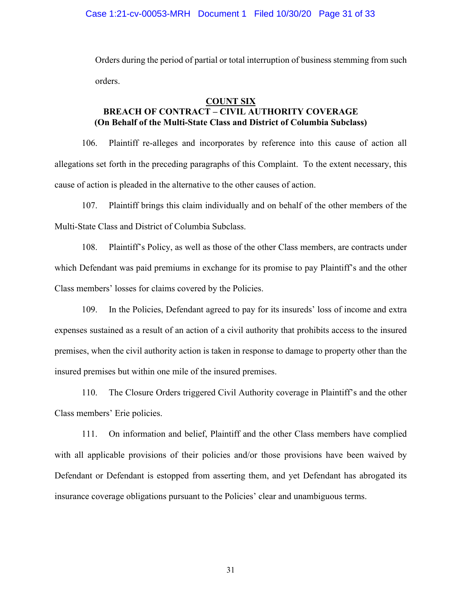Orders during the period of partial or total interruption of business stemming from such orders.

### **COUNT SIX**

# **BREACH OF CONTRACT – CIVIL AUTHORITY COVERAGE (On Behalf of the Multi-State Class and District of Columbia Subclass)**

106. Plaintiff re-alleges and incorporates by reference into this cause of action all allegations set forth in the preceding paragraphs of this Complaint. To the extent necessary, this cause of action is pleaded in the alternative to the other causes of action.

107. Plaintiff brings this claim individually and on behalf of the other members of the Multi-State Class and District of Columbia Subclass.

108. Plaintiff's Policy, as well as those of the other Class members, are contracts under which Defendant was paid premiums in exchange for its promise to pay Plaintiff's and the other Class members' losses for claims covered by the Policies.

109. In the Policies, Defendant agreed to pay for its insureds' loss of income and extra expenses sustained as a result of an action of a civil authority that prohibits access to the insured premises, when the civil authority action is taken in response to damage to property other than the insured premises but within one mile of the insured premises.

110. The Closure Orders triggered Civil Authority coverage in Plaintiff's and the other Class members' Erie policies.

111. On information and belief, Plaintiff and the other Class members have complied with all applicable provisions of their policies and/or those provisions have been waived by Defendant or Defendant is estopped from asserting them, and yet Defendant has abrogated its insurance coverage obligations pursuant to the Policies' clear and unambiguous terms.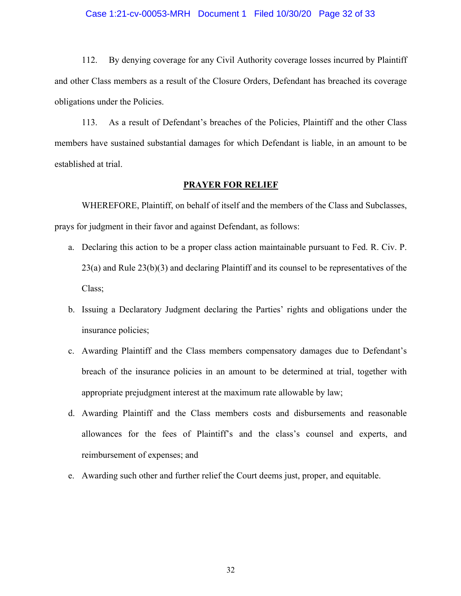#### Case 1:21-cv-00053-MRH Document 1 Filed 10/30/20 Page 32 of 33

112. By denying coverage for any Civil Authority coverage losses incurred by Plaintiff and other Class members as a result of the Closure Orders, Defendant has breached its coverage obligations under the Policies.

113. As a result of Defendant's breaches of the Policies, Plaintiff and the other Class members have sustained substantial damages for which Defendant is liable, in an amount to be established at trial.

#### **PRAYER FOR RELIEF**

WHEREFORE, Plaintiff, on behalf of itself and the members of the Class and Subclasses, prays for judgment in their favor and against Defendant, as follows:

- a. Declaring this action to be a proper class action maintainable pursuant to Fed. R. Civ. P. 23(a) and Rule 23(b)(3) and declaring Plaintiff and its counsel to be representatives of the Class;
- b. Issuing a Declaratory Judgment declaring the Parties' rights and obligations under the insurance policies;
- c. Awarding Plaintiff and the Class members compensatory damages due to Defendant's breach of the insurance policies in an amount to be determined at trial, together with appropriate prejudgment interest at the maximum rate allowable by law;
- d. Awarding Plaintiff and the Class members costs and disbursements and reasonable allowances for the fees of Plaintiff's and the class's counsel and experts, and reimbursement of expenses; and
- e. Awarding such other and further relief the Court deems just, proper, and equitable.